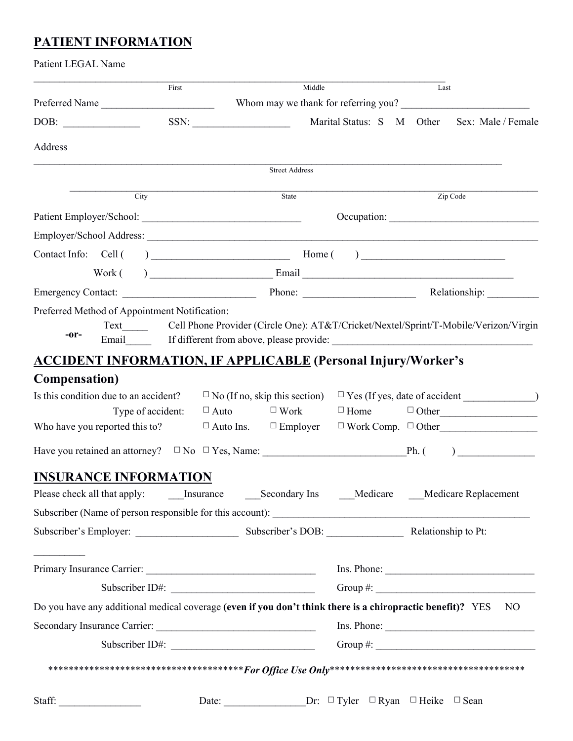# **PATIENT INFORMATION**

| Patient LEGAL Name                                                                                            |                   |                                                                                                                                                                                                                                   |                                                       |                          |      |                                           |
|---------------------------------------------------------------------------------------------------------------|-------------------|-----------------------------------------------------------------------------------------------------------------------------------------------------------------------------------------------------------------------------------|-------------------------------------------------------|--------------------------|------|-------------------------------------------|
|                                                                                                               | First             |                                                                                                                                                                                                                                   | Middle                                                |                          | Last |                                           |
| Preferred Name                                                                                                |                   |                                                                                                                                                                                                                                   |                                                       |                          |      | Whom may we thank for referring you?      |
| DOB:                                                                                                          |                   | $SSN: \underline{\hspace{2.5cm}}$                                                                                                                                                                                                 | Marital Status: S M Other                             |                          |      | Sex: Male / Female                        |
| Address                                                                                                       |                   |                                                                                                                                                                                                                                   |                                                       |                          |      |                                           |
|                                                                                                               |                   | <b>Street Address</b>                                                                                                                                                                                                             |                                                       |                          |      |                                           |
|                                                                                                               | City              | State                                                                                                                                                                                                                             |                                                       | Zip Code                 |      |                                           |
|                                                                                                               |                   |                                                                                                                                                                                                                                   |                                                       |                          |      |                                           |
| Employer/School Address:                                                                                      |                   |                                                                                                                                                                                                                                   |                                                       |                          |      |                                           |
|                                                                                                               |                   |                                                                                                                                                                                                                                   |                                                       |                          |      |                                           |
|                                                                                                               |                   | $Work( )$ Email Email Email Email Email Email Email Email Email Email Email Email Email Email Email Email Email Email Email Email Email Email Email Email Email Email Email Email Email Email Email Email Email Email Email Email |                                                       |                          |      |                                           |
|                                                                                                               |                   |                                                                                                                                                                                                                                   |                                                       |                          |      |                                           |
| Preferred Method of Appointment Notification:                                                                 |                   |                                                                                                                                                                                                                                   |                                                       |                          |      |                                           |
|                                                                                                               |                   | Text Cell Phone Provider (Circle One): AT&T/Cricket/Nextel/Sprint/T-Mobile/Verizon/Virgin                                                                                                                                         |                                                       |                          |      |                                           |
| -or-                                                                                                          |                   | Email If different from above, please provide: If different from above, please provide: If different from above, please provide: If different from above, please provide: If different from above, please provide: If differen    |                                                       |                          |      |                                           |
| <b>ACCIDENT INFORMATION, IF APPLICABLE (Personal Injury/Worker's</b>                                          |                   |                                                                                                                                                                                                                                   |                                                       |                          |      |                                           |
| <b>Compensation</b> )                                                                                         |                   |                                                                                                                                                                                                                                   |                                                       |                          |      |                                           |
| Is this condition due to an accident?                                                                         |                   |                                                                                                                                                                                                                                   |                                                       |                          |      |                                           |
|                                                                                                               | Type of accident: | $\Box$ Auto $\Box$ Work                                                                                                                                                                                                           |                                                       |                          |      | $\Box$ Home $\Box$ Other                  |
| Who have you reported this to?                                                                                |                   | $\Box$ Auto Ins. $\Box$ Employer                                                                                                                                                                                                  |                                                       |                          |      | $\Box$ Work Comp. $\Box$ Other            |
|                                                                                                               |                   |                                                                                                                                                                                                                                   |                                                       |                          |      | ) and the set of $\overline{\phantom{a}}$ |
| <b>INSURANCE INFORMATION</b>                                                                                  |                   |                                                                                                                                                                                                                                   |                                                       |                          |      |                                           |
|                                                                                                               |                   |                                                                                                                                                                                                                                   |                                                       |                          |      |                                           |
|                                                                                                               |                   |                                                                                                                                                                                                                                   |                                                       |                          |      |                                           |
|                                                                                                               |                   |                                                                                                                                                                                                                                   |                                                       |                          |      |                                           |
|                                                                                                               |                   |                                                                                                                                                                                                                                   |                                                       |                          |      |                                           |
|                                                                                                               |                   |                                                                                                                                                                                                                                   |                                                       |                          |      | Ins. Phone:                               |
| Subscriber ID#:                                                                                               |                   |                                                                                                                                                                                                                                   |                                                       | Group #: $\qquad \qquad$ |      |                                           |
| Do you have any additional medical coverage (even if you don't think there is a chiropractic benefit)? YES NO |                   |                                                                                                                                                                                                                                   |                                                       |                          |      |                                           |
|                                                                                                               |                   |                                                                                                                                                                                                                                   |                                                       | Ins. Phone:              |      |                                           |
| Subscriber ID#:                                                                                               |                   |                                                                                                                                                                                                                                   |                                                       | Group #: $\qquad \qquad$ |      |                                           |
|                                                                                                               |                   |                                                                                                                                                                                                                                   |                                                       |                          |      |                                           |
|                                                                                                               |                   |                                                                                                                                                                                                                                   |                                                       |                          |      |                                           |
| Staff:                                                                                                        |                   | Date:                                                                                                                                                                                                                             | Dr: $\Box$ Tyler $\Box$ Ryan $\Box$ Heike $\Box$ Sean |                          |      |                                           |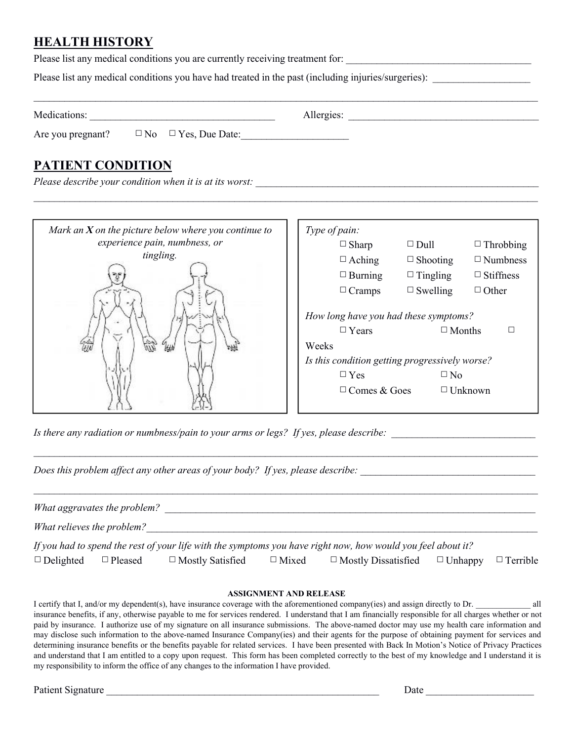## **HEALTH HISTORY**

Please list any medical conditions you are currently receiving treatment for:

Please list any medical conditions you have had treated in the past (including injuries/surgeries):

Medications: \_\_\_\_\_\_\_\_\_\_\_\_\_\_\_\_\_\_\_\_\_\_\_\_\_\_\_\_\_\_\_\_\_\_\_\_ Allergies: \_\_\_\_\_\_\_\_\_\_\_\_\_\_\_\_\_\_\_\_\_\_\_\_\_\_\_\_\_\_\_\_\_\_\_\_\_

 $\mathcal{L}_\mathcal{L} = \mathcal{L}_\mathcal{L} = \mathcal{L}_\mathcal{L} = \mathcal{L}_\mathcal{L} = \mathcal{L}_\mathcal{L} = \mathcal{L}_\mathcal{L} = \mathcal{L}_\mathcal{L} = \mathcal{L}_\mathcal{L} = \mathcal{L}_\mathcal{L} = \mathcal{L}_\mathcal{L} = \mathcal{L}_\mathcal{L} = \mathcal{L}_\mathcal{L} = \mathcal{L}_\mathcal{L} = \mathcal{L}_\mathcal{L} = \mathcal{L}_\mathcal{L} = \mathcal{L}_\mathcal{L} = \mathcal{L}_\mathcal{L}$ 

 $\mathcal{L}_\mathcal{L} = \mathcal{L}_\mathcal{L} = \mathcal{L}_\mathcal{L} = \mathcal{L}_\mathcal{L} = \mathcal{L}_\mathcal{L} = \mathcal{L}_\mathcal{L} = \mathcal{L}_\mathcal{L} = \mathcal{L}_\mathcal{L} = \mathcal{L}_\mathcal{L} = \mathcal{L}_\mathcal{L} = \mathcal{L}_\mathcal{L} = \mathcal{L}_\mathcal{L} = \mathcal{L}_\mathcal{L} = \mathcal{L}_\mathcal{L} = \mathcal{L}_\mathcal{L} = \mathcal{L}_\mathcal{L} = \mathcal{L}_\mathcal{L}$ 

Are you pregnant?  $\Box$  No  $\Box$  Yes, Due Date:

# **PATIENT CONDITION**

*Please describe your condition when it is at its worst:* 

| Mark an $X$ on the picture below where you continue to |  | Type of pain:                                                                        |                 |                  |  |  |
|--------------------------------------------------------|--|--------------------------------------------------------------------------------------|-----------------|------------------|--|--|
| experience pain, numbness, or                          |  | $\Box$ Sharp                                                                         | $\Box$ Dull     | $\Box$ Throbbing |  |  |
| tingling.                                              |  | $\Box$ Aching                                                                        | $\Box$ Shooting | $\Box$ Numbness  |  |  |
|                                                        |  | $\Box$ Burning                                                                       | $\Box$ Tingling | $\Box$ Stiffness |  |  |
|                                                        |  | $\Box$ Cramps                                                                        | $\Box$ Swelling | $\Box$ Other     |  |  |
| HЫ                                                     |  | How long have you had these symptoms?<br>$\Box$ Years<br>$\Box$ Months<br>□<br>Weeks |                 |                  |  |  |
|                                                        |  | Is this condition getting progressively worse?                                       |                 |                  |  |  |
|                                                        |  | $\Box$ Yes                                                                           |                 | $\Box$ No        |  |  |
|                                                        |  | $\Box$ Comes & Goes                                                                  |                 | $\Box$ Unknown   |  |  |

Is there any radiation or numbness/pain to your arms or legs? If yes, please describe:

*Does this problem affect any other areas of your body? If yes, please describe: \_\_\_\_\_\_\_\_\_\_\_\_\_\_\_\_\_\_\_\_\_\_\_\_\_\_\_\_\_\_\_\_\_\_*

|                            | What aggravates the problem? |                         |              |                                                                                                              |                 |
|----------------------------|------------------------------|-------------------------|--------------|--------------------------------------------------------------------------------------------------------------|-----------------|
| What relieves the problem? |                              |                         |              |                                                                                                              |                 |
|                            |                              |                         |              | If you had to spend the rest of your life with the symptoms you have right now, how would you feel about it? |                 |
| $\Box$ Delighted           | $\Box$ Pleased               | $\Box$ Mostly Satisfied | $\Box$ Mixed | $\Box$ Mostly Dissatisfied $\Box$ Unhappy                                                                    | $\Box$ Terrible |

 $\mathcal{L}_\mathcal{L} = \{ \mathcal{L}_\mathcal{L} = \{ \mathcal{L}_\mathcal{L} = \{ \mathcal{L}_\mathcal{L} = \{ \mathcal{L}_\mathcal{L} = \{ \mathcal{L}_\mathcal{L} = \{ \mathcal{L}_\mathcal{L} = \{ \mathcal{L}_\mathcal{L} = \{ \mathcal{L}_\mathcal{L} = \{ \mathcal{L}_\mathcal{L} = \{ \mathcal{L}_\mathcal{L} = \{ \mathcal{L}_\mathcal{L} = \{ \mathcal{L}_\mathcal{L} = \{ \mathcal{L}_\mathcal{L} = \{ \mathcal{L}_\mathcal{$ 

#### **ASSIGNMENT AND RELEASE**

I certify that I, and/or my dependent(s), have insurance coverage with the aforementioned company(ies) and assign directly to Dr. all insurance benefits, if any, otherwise payable to me for services rendered. I understand that I am financially responsible for all charges whether or not paid by insurance. I authorize use of my signature on all insurance submissions. The above-named doctor may use my health care information and may disclose such information to the above-named Insurance Company(ies) and their agents for the purpose of obtaining payment for services and determining insurance benefits or the benefits payable for related services. I have been presented with Back In Motion's Notice of Privacy Practices and understand that I am entitled to a copy upon request. This form has been completed correctly to the best of my knowledge and I understand it is my responsibility to inform the office of any changes to the information I have provided.

Patient Signature \_\_\_\_\_\_\_\_\_\_\_\_\_\_\_\_\_\_\_\_\_\_\_\_\_\_\_\_\_\_\_\_\_\_\_\_\_\_\_\_\_\_\_\_\_\_\_\_\_\_\_\_\_ Date \_\_\_\_\_\_\_\_\_\_\_\_\_\_\_\_\_\_\_\_\_